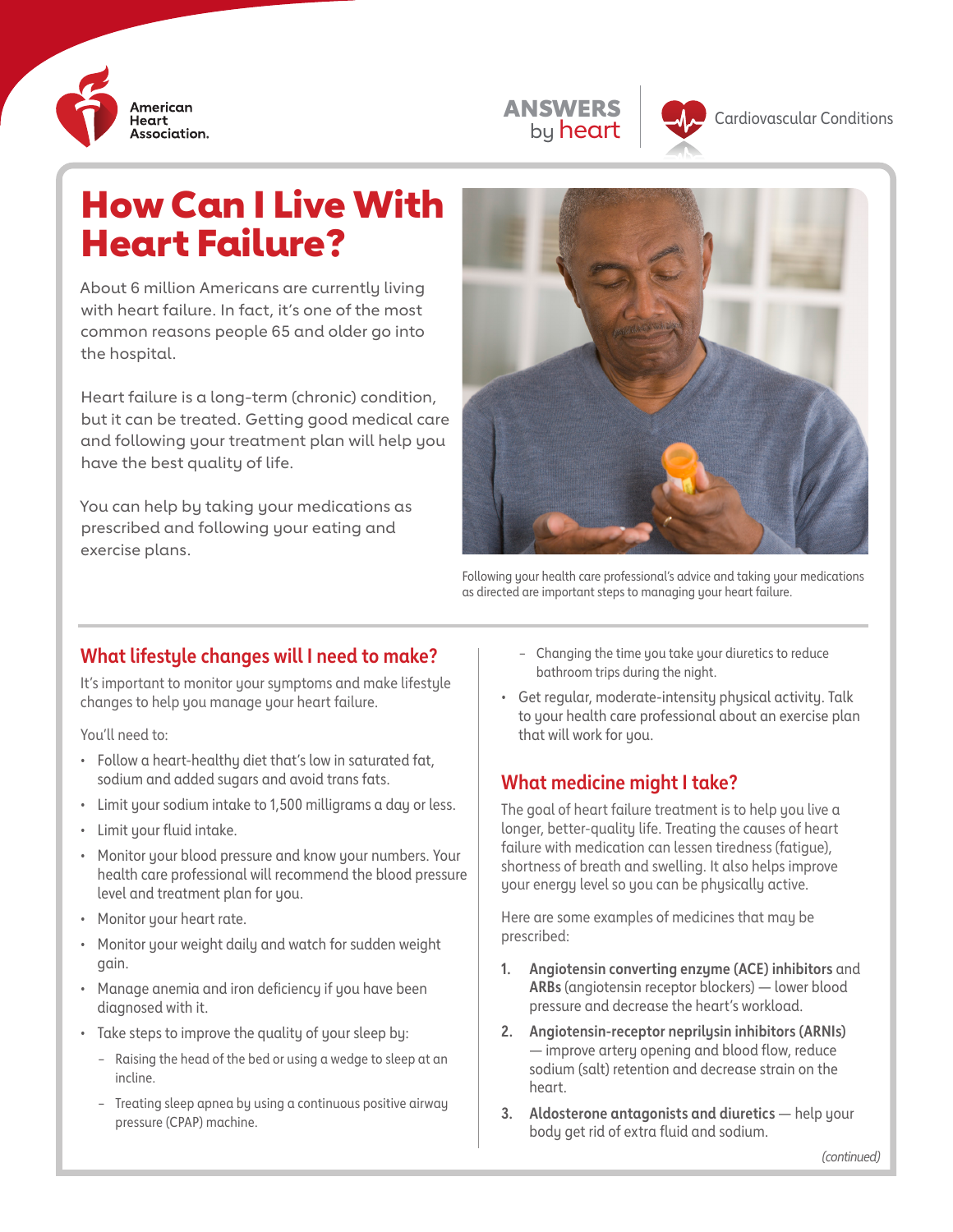

| з | NE.                 |
|---|---------------------|
|   | <b>n</b><br>Πr<br>e |



**Cardiovascular Conditions** 

# How Can I Live With Heart Failure?

About 6 million Americans are currently living with heart failure. In fact, it's one of the most common reasons people 65 and older go into the hospital.

Heart failure is a long-term (chronic) condition, but it can be treated. Getting good medical care and following your treatment plan will help you have the best quality of life.

You can help by taking your medications as prescribed and following your eating and exercise plans.



Following your health care professional's advice and taking your medications as directed are important steps to managing your heart failure.

# **What lifestyle changes will I need to make?**

It's important to monitor your symptoms and make lifestyle changes to help you manage your heart failure.

You'll need to:

- Follow a heart-healthy diet that's low in saturated fat, sodium and added sugars and avoid trans fats.
- Limit your sodium intake to 1,500 milligrams a day or less.
- Limit your fluid intake.
- Monitor your blood pressure and know your numbers. Your health care professional will recommend the blood pressure level and treatment plan for you.
- Monitor your heart rate.
- Monitor your weight daily and watch for sudden weight gain.
- Manage anemia and iron deficiency if you have been diagnosed with it.
- Take steps to improve the quality of your sleep by:
	- Raising the head of the bed or using a wedge to sleep at an incline.
	- Treating sleep apnea by using a continuous positive airway pressure (CPAP) machine.
- Changing the time you take your diuretics to reduce bathroom trips during the night.
- Get regular, moderate-intensity physical activity. Talk to your health care professional about an exercise plan that will work for you.

# **What medicine might I take?**

The goal of heart failure treatment is to help you live a longer, better-quality life. Treating the causes of heart failure with medication can lessen tiredness (fatigue), shortness of breath and swelling. It also helps improve your energy level so you can be physically active.

Here are some examples of medicines that may be prescribed:

- **1. Angiotensin converting enzyme (ACE) inhibitors** and **ARBs** (angiotensin receptor blockers) — lower blood pressure and decrease the heart's workload.
- **2. Angiotensin-receptor neprilysin inhibitors (ARNIs)**  — improve artery opening and blood flow, reduce sodium (salt) retention and decrease strain on the heart.
- **3. Aldosterone antagonists and diuretics** help your body get rid of extra fluid and sodium.